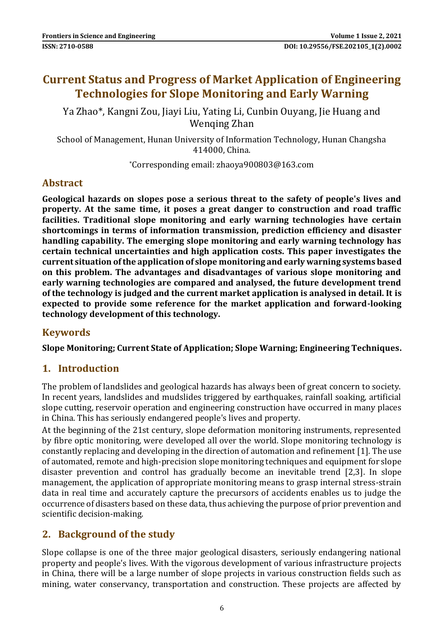## **Current Status and Progress of Market Application of Engineering Technologies for Slope Monitoring and Early Warning**

Ya Zhao\*, Kangni Zou, Jiayi Liu, Yating Li, Cunbin Ouyang, Jie Huang and Wenqing Zhan

School of Management, Hunan University of Information Technology, Hunan Changsha 414000, China.

\*Corresponding email: zhaoya900803@163.com

## **Abstract**

**Geological hazards on slopes pose a serious threat to the safety of people's lives and property. At the same time, it poses a great danger to construction and road traffic facilities. Traditional slope monitoring and early warning technologies have certain shortcomings in terms of information transmission, prediction efficiency and disaster handling capability. The emerging slope monitoring and early warning technology has certain technical uncertainties and high application costs. This paper investigates the current situation of the application of slope monitoring and early warning systems based on this problem. The advantages and disadvantages of various slope monitoring and early warning technologies are compared and analysed, the future development trend of the technology is judged and the current market application is analysed in detail. It is expected to provide some reference for the market application and forward-looking technology development of this technology.**

## **Keywords**

**Slope Monitoring; Current State of Application; Slope Warning; Engineering Techniques.**

## **1. Introduction**

The problem of landslides and geological hazards has always been of great concern to society. In recent years, landslides and mudslides triggered by earthquakes, rainfall soaking, artificial slope cutting, reservoir operation and engineering construction have occurred in many places in China. This has seriously endangered people's lives and property.

At the beginning of the 21st century, slope deformation monitoring instruments, represented by fibre optic monitoring, were developed all over the world. Slope monitoring technology is constantly replacing and developing in the direction of automation and refinement [1]. The use of automated, remote and high-precision slope monitoring techniques and equipment for slope disaster prevention and control has gradually become an inevitable trend [2,3]. In slope management, the application of appropriate monitoring means to grasp internal stress-strain data in real time and accurately capture the precursors of accidents enables us to judge the occurrence of disasters based on these data, thus achieving the purpose of prior prevention and scientific decision-making.

## **2. Background of the study**

Slope collapse is one of the three major geological disasters, seriously endangering national property and people's lives. With the vigorous development of various infrastructure projects in China, there will be a large number of slope projects in various construction fields such as mining, water conservancy, transportation and construction. These projects are affected by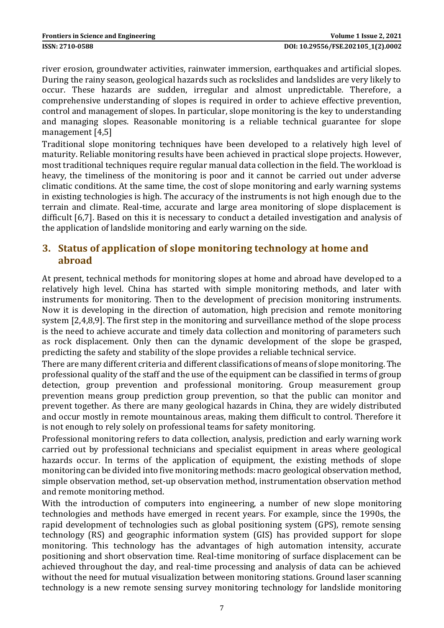river erosion, groundwater activities, rainwater immersion, earthquakes and artificial slopes. During the rainy season, geological hazards such as rockslides and landslides are very likely to occur. These hazards are sudden, irregular and almost unpredictable. Therefore, a comprehensive understanding of slopes is required in order to achieve effective prevention, control and management of slopes. In particular, slope monitoring is the key to understanding and managing slopes. Reasonable monitoring is a reliable technical guarantee for slope management [4,5]

Traditional slope monitoring techniques have been developed to a relatively high level of maturity. Reliable monitoring results have been achieved in practical slope projects. However, most traditional techniques require regular manual data collection in the field. The workload is heavy, the timeliness of the monitoring is poor and it cannot be carried out under adverse climatic conditions. At the same time, the cost of slope monitoring and early warning systems in existing technologies is high. The accuracy of the instruments is not high enough due to the terrain and climate. Real-time, accurate and large area monitoring of slope displacement is difficult [6,7]. Based on this it is necessary to conduct a detailed investigation and analysis of the application of landslide monitoring and early warning on the side.

## **3. Status of application of slope monitoring technology at home and abroad**

At present, technical methods for monitoring slopes at home and abroad have developed to a relatively high level. China has started with simple monitoring methods, and later with instruments for monitoring. Then to the development of precision monitoring instruments. Now it is developing in the direction of automation, high precision and remote monitoring system [2,4,8,9]. The first step in the monitoring and surveillance method of the slope process is the need to achieve accurate and timely data collection and monitoring of parameters such as rock displacement. Only then can the dynamic development of the slope be grasped, predicting the safety and stability of the slope provides a reliable technical service.

There are many different criteria and different classifications of means of slope monitoring. The professional quality of the staff and the use of the equipment can be classified in terms of group detection, group prevention and professional monitoring. Group measurement group prevention means group prediction group prevention, so that the public can monitor and prevent together. As there are many geological hazards in China, they are widely distributed and occur mostly in remote mountainous areas, making them difficult to control. Therefore it is not enough to rely solely on professional teams for safety monitoring.

Professional monitoring refers to data collection, analysis, prediction and early warning work carried out by professional technicians and specialist equipment in areas where geological hazards occur. In terms of the application of equipment, the existing methods of slope monitoring can be divided into five monitoring methods: macro geological observation method, simple observation method, set-up observation method, instrumentation observation method and remote monitoring method.

With the introduction of computers into engineering, a number of new slope monitoring technologies and methods have emerged in recent years. For example, since the 1990s, the rapid development of technologies such as global positioning system (GPS), remote sensing technology (RS) and geographic information system (GIS) has provided support for slope monitoring. This technology has the advantages of high automation intensity, accurate positioning and short observation time. Real-time monitoring of surface displacement can be achieved throughout the day, and real-time processing and analysis of data can be achieved without the need for mutual visualization between monitoring stations. Ground laser scanning technology is a new remote sensing survey monitoring technology for landslide monitoring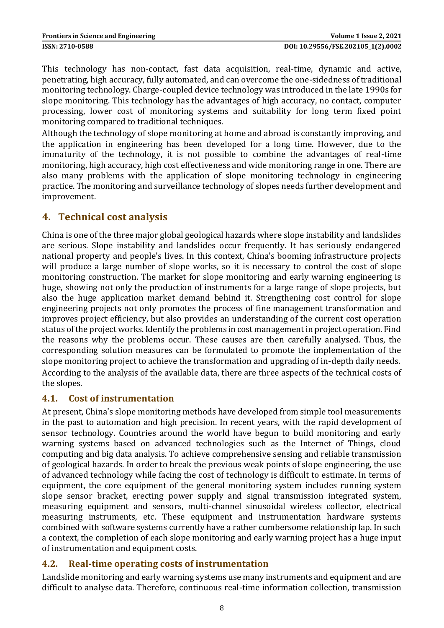This technology has non-contact, fast data acquisition, real-time, dynamic and active, penetrating, high accuracy, fully automated, and can overcome the one-sidedness of traditional monitoring technology. Charge-coupled device technology was introduced in the late 1990s for slope monitoring. This technology has the advantages of high accuracy, no contact, computer processing, lower cost of monitoring systems and suitability for long term fixed point monitoring compared to traditional techniques.

Although the technology of slope monitoring at home and abroad is constantly improving, and the application in engineering has been developed for a long time. However, due to the immaturity of the technology, it is not possible to combine the advantages of real-time monitoring, high accuracy, high cost effectiveness and wide monitoring range in one. There are also many problems with the application of slope monitoring technology in engineering practice. The monitoring and surveillance technology of slopes needs further development and improvement.

## **4. Technical cost analysis**

China is one of the three major global geological hazards where slope instability and landslides are serious. Slope instability and landslides occur frequently. It has seriously endangered national property and people's lives. In this context, China's booming infrastructure projects will produce a large number of slope works, so it is necessary to control the cost of slope monitoring construction. The market for slope monitoring and early warning engineering is huge, showing not only the production of instruments for a large range of slope projects, but also the huge application market demand behind it. Strengthening cost control for slope engineering projects not only promotes the process of fine management transformation and improves project efficiency, but also provides an understanding of the current cost operation status of the project works. Identify the problems in cost management in project operation. Find the reasons why the problems occur. These causes are then carefully analysed. Thus, the corresponding solution measures can be formulated to promote the implementation of the slope monitoring project to achieve the transformation and upgrading of in-depth daily needs. According to the analysis of the available data, there are three aspects of the technical costs of the slopes.

#### **4.1. Cost of instrumentation**

At present, China's slope monitoring methods have developed from simple tool measurements in the past to automation and high precision. In recent years, with the rapid development of sensor technology. Countries around the world have begun to build monitoring and early warning systems based on advanced technologies such as the Internet of Things, cloud computing and big data analysis. To achieve comprehensive sensing and reliable transmission of geological hazards. In order to break the previous weak points of slope engineering, the use of advanced technology while facing the cost of technology is difficult to estimate. In terms of equipment, the core equipment of the general monitoring system includes running system slope sensor bracket, erecting power supply and signal transmission integrated system, measuring equipment and sensors, multi-channel sinusoidal wireless collector, electrical measuring instruments, etc. These equipment and instrumentation hardware systems combined with software systems currently have a rather cumbersome relationship lap. In such a context, the completion of each slope monitoring and early warning project has a huge input of instrumentation and equipment costs.

## **4.2. Real-time operating costs of instrumentation**

Landslide monitoring and early warning systems use many instruments and equipment and are difficult to analyse data. Therefore, continuous real-time information collection, transmission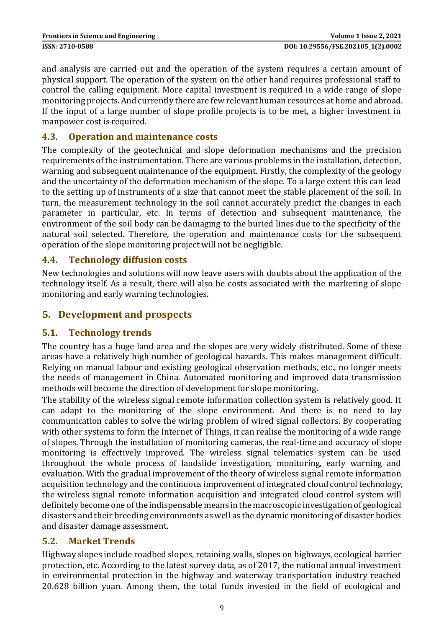and analysis are carried out and the operation of the system requires a certain amount of physical support. The operation of the system on the other hand requires professional staff to control the calling equipment. More capital investment is required in a wide range of slope monitoring projects. And currently there are few relevant human resources at home and abroad. If the input of a large number of slope profile projects is to be met, a higher investment in manpower cost is required.

#### **4.3. Operation and maintenance costs**

The complexity of the geotechnical and slope deformation mechanisms and the precision requirements of the instrumentation. There are various problems in the installation, detection, warning and subsequent maintenance of the equipment. Firstly, the complexity of the geology and the uncertainty of the deformation mechanism of the slope. To a large extent this can lead to the setting up of instruments of a size that cannot meet the stable placement of the soil. In turn, the measurement technology in the soil cannot accurately predict the changes in each parameter in particular, etc. In terms of detection and subsequent maintenance, the environment of the soil body can be damaging to the buried lines due to the specificity of the natural soil selected. Therefore, the operation and maintenance costs for the subsequent operation of the slope monitoring project will not be negligible.

#### **4.4. Technology diffusion costs**

New technologies and solutions will now leave users with doubts about the application of the technology itself. As a result, there will also be costs associated with the marketing of slope monitoring and early warning technologies.

## **5. Development and prospects**

## **5.1. Technology trends**

The country has a huge land area and the slopes are very widely distributed. Some of these areas have a relatively high number of geological hazards. This makes management difficult. Relying on manual labour and existing geological observation methods, etc., no longer meets the needs of management in China. Automated monitoring and improved data transmission methods will become the direction of development for slope monitoring.

The stability of the wireless signal remote information collection system is relatively good. It can adapt to the monitoring of the slope environment. And there is no need to lay communication cables to solve the wiring problem of wired signal collectors. By cooperating with other systems to form the Internet of Things, it can realise the monitoring of a wide range of slopes. Through the installation of monitoring cameras, the real-time and accuracy of slope monitoring is effectively improved. The wireless signal telematics system can be used throughout the whole process of landslide investigation, monitoring, early warning and evaluation. With the gradual improvement of the theory of wireless signal remote information acquisition technology and the continuous improvement of integrated cloud control technology, the wireless signal remote information acquisition and integrated cloud control system will definitely become one of the indispensable means in the macroscopic investigation of geological disasters and their breeding environments as well as the dynamic monitoring of disaster bodies and disaster damage assessment.

#### **5.2. Market Trends**

Highway slopes include roadbed slopes, retaining walls, slopes on highways, ecological barrier protection, etc. According to the latest survey data, as of 2017, the national annual investment in environmental protection in the highway and waterway transportation industry reached 20.628 billion yuan. Among them, the total funds invested in the field of ecological and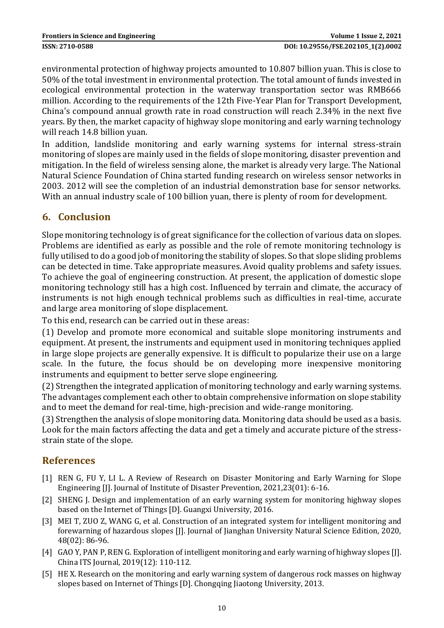environmental protection of highway projects amounted to 10.807 billion yuan. This is close to 50% of the total investment in environmental protection. The total amount of funds invested in ecological environmental protection in the waterway transportation sector was RMB666 million. According to the requirements of the 12th Five-Year Plan for Transport Development, China's compound annual growth rate in road construction will reach 2.34% in the next five years. By then, the market capacity of highway slope monitoring and early warning technology will reach 14.8 billion yuan.

In addition, landslide monitoring and early warning systems for internal stress-strain monitoring of slopes are mainly used in the fields of slope monitoring, disaster prevention and mitigation. In the field of wireless sensing alone, the market is already very large. The National Natural Science Foundation of China started funding research on wireless sensor networks in 2003. 2012 will see the completion of an industrial demonstration base for sensor networks. With an annual industry scale of 100 billion yuan, there is plenty of room for development.

## **6. Conclusion**

Slope monitoring technology is of great significance for the collection of various data on slopes. Problems are identified as early as possible and the role of remote monitoring technology is fully utilised to do a good job of monitoring the stability of slopes. So that slope sliding problems can be detected in time. Take appropriate measures. Avoid quality problems and safety issues. To achieve the goal of engineering construction. At present, the application of domestic slope monitoring technology still has a high cost. Influenced by terrain and climate, the accuracy of instruments is not high enough technical problems such as difficulties in real-time, accurate and large area monitoring of slope displacement.

To this end, research can be carried out in these areas:

(1) Develop and promote more economical and suitable slope monitoring instruments and equipment. At present, the instruments and equipment used in monitoring techniques applied in large slope projects are generally expensive. It is difficult to popularize their use on a large scale. In the future, the focus should be on developing more inexpensive monitoring instruments and equipment to better serve slope engineering.

(2) Strengthen the integrated application of monitoring technology and early warning systems. The advantages complement each other to obtain comprehensive information on slope stability and to meet the demand for real-time, high-precision and wide-range monitoring.

(3) Strengthen the analysis of slope monitoring data. Monitoring data should be used as a basis. Look for the main factors affecting the data and get a timely and accurate picture of the stressstrain state of the slope.

## **References**

- [1] REN G, FU Y, LI L. A Review of Research on Disaster Monitoring and Early Warning for Slope Engineering [J]. Journal of Institute of Disaster Prevention, 2021,23(01): 6-16.
- [2] SHENG J. Design and implementation of an early warning system for monitoring highway slopes based on the Internet of Things [D]. Guangxi University, 2016.
- [3] MEI T, ZUO Z, WANG G, et al. Construction of an integrated system for intelligent monitoring and forewarning of hazardous slopes [J]. Journal of Jianghan University Natural Science Edition, 2020, 48(02): 86-96.
- [4] GAO Y, PAN P, REN G. Exploration of intelligent monitoring and early warning of highway slopes [J]. China ITS Journal, 2019(12): 110-112.
- [5] HE X. Research on the monitoring and early warning system of dangerous rock masses on highway slopes based on Internet of Things [D]. Chongqing Jiaotong University, 2013.